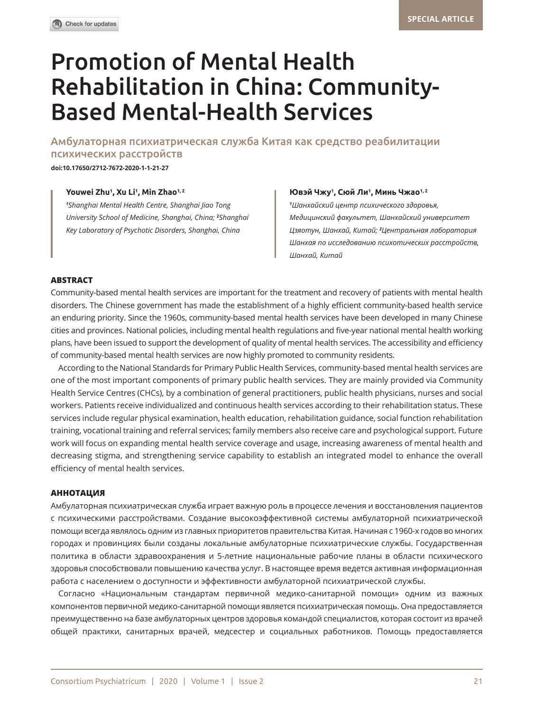# Promotion of Mental Health Rehabilitation in China: Community-Based Mental-Health Services

Амбулаторная психиатрическая служба Китая как средство реабилитации психических расстройств

**doi:10.17650/2712-7672-2020-1-1-21-27** 

#### **Youwei Zhu1 , Xu Li1 , Min Zhao1, 2 Ювэй Чжу<sup>1</sup>**

*1 Shanghai Mental Health Centre, Shanghai Jiao Tong University School of Medicine, Shanghai, China;* **<sup>2</sup>** *Shanghai Key Laboratory of Psychotic Disorders, Shanghai, China*

#### **, Сюй Ли<sup>1</sup> , Минь Чжао1, 2**

*1 Шанхайский центр психического здоровья, Медицинский факультет, Шанхайский университет Цзяотун, Шанхай, Китай; <sup>2</sup> Центральная лаборатория Шанхая по исследованию психотических расстройств, Шанхай, Китай*

#### **ABSTRACT**

Community-based mental health services are important for the treatment and recovery of patients with mental health disorders. The Chinese government has made the establishment of a highly efficient community-based health service an enduring priority. Since the 1960s, community-based mental health services have been developed in many Chinese cities and provinces. National policies, including mental health regulations and five-year national mental health working plans, have been issued to support the development of quality of mental health services. The accessibility and efficiency of community-based mental health services are now highly promoted to community residents.

According to the National Standards for Primary Public Health Services, community-based mental health services are one of the most important components of primary public health services. They are mainly provided via Community Health Service Centres (CHCs), by a combination of general practitioners, public health physicians, nurses and social workers. Patients receive individualized and continuous health services according to their rehabilitation status. These services include regular physical examination, health education, rehabilitation guidance, social function rehabilitation training, vocational training and referral services; family members also receive care and psychological support. Future work will focus on expanding mental health service coverage and usage, increasing awareness of mental health and decreasing stigma, and strengthening service capability to establish an integrated model to enhance the overall efficiency of mental health services.

### **АННОТАЦИЯ**

Амбулаторная психиатрическая служба играет важную роль в процессе лечения и восстановления пациентов с психическими расстройствами. Создание высокоэффективной системы амбулаторной психиатрической помощи всегда являлось одним из главных приоритетов правительства Китая. Начиная с 1960-х годов во многих городах и провинциях были созданы локальные амбулаторные психиатрические службы. Государственная политика в области здравоохранения и 5-летние национальные рабочие планы в области психического здоровья способствовали повышению качества услуг. В настоящее время ведется активная информационная работа с населением о доступности и эффективности амбулаторной психиатрической службы.

Согласно «Национальным стандартам первичной медико-санитарной помощи» одним из важных компонентов первичной медико-санитарной помощи является психиатрическая помощь. Она предоставляется преимущественно на базе амбулаторных центров здоровья командой специалистов, которая состоит из врачей общей практики, санитарных врачей, медсестер и социальных работников. Помощь предоставляется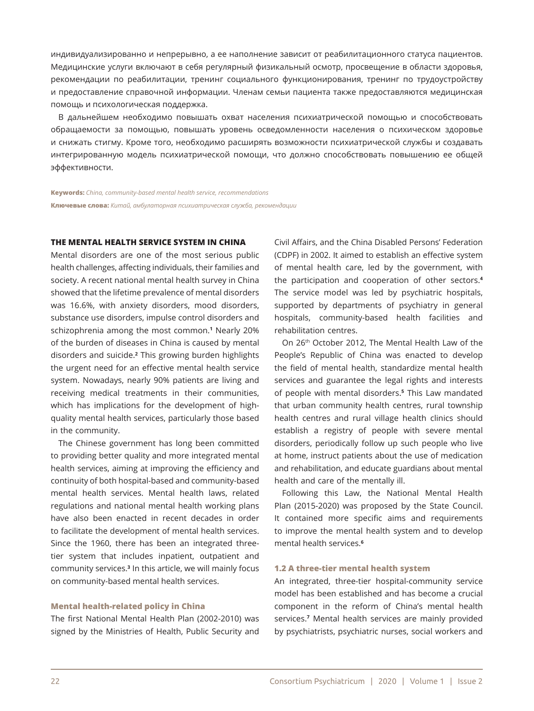индивидуализированно и непрерывно, а ее наполнение зависит от реабилитационного статуса пациентов. Медицинские услуги включают в себя регулярный физикальный осмотр, просвещение в области здоровья, рекомендации по реабилитации, тренинг социального функционирования, тренинг по трудоустройству и предоставление справочной информации. Членам семьи пациента также предоставляются медицинская помощь и психологическая поддержка.

В дальнейшем необходимо повышать охват населения психиатрической помощью и способствовать обращаемости за помощью, повышать уровень осведомленности населения о психическом здоровье и снижать стигму. Кроме того, необходимо расширять возможности психиатрической службы и создавать интегрированную модель психиатрической помощи, что должно способствовать повышению ее общей эффективности.

**Keywords:** *China, community-based mental health service, recommendations* **Ключевые слова:** *Китай, амбулаторная психиатрическая служба, рекомендации*

## **THE MENTAL HEALTH SERVICE SYSTEM IN CHINA**

Mental disorders are one of the most serious public health challenges, affecting individuals, their families and society. A recent national mental health survey in China showed that the lifetime prevalence of mental disorders was 16.6%, with anxiety disorders, mood disorders, substance use disorders, impulse control disorders and schizophrenia among the most common.**<sup>1</sup>** Nearly 20% of the burden of diseases in China is caused by mental disorders and suicide.**<sup>2</sup>** This growing burden highlights the urgent need for an effective mental health service system. Nowadays, nearly 90% patients are living and receiving medical treatments in their communities, which has implications for the development of highquality mental health services, particularly those based in the community.

The Chinese government has long been committed to providing better quality and more integrated mental health services, aiming at improving the efficiency and continuity of both hospital-based and community-based mental health services. Mental health laws, related regulations and national mental health working plans have also been enacted in recent decades in order to facilitate the development of mental health services. Since the 1960, there has been an integrated threetier system that includes inpatient, outpatient and community services.**<sup>3</sup>** In this article, we will mainly focus on community-based mental health services.

#### **Mental health-related policy in China**

The first National Mental Health Plan (2002-2010) was signed by the Ministries of Health, Public Security and Civil Affairs, and the China Disabled Persons' Federation (CDPF) in 2002. It aimed to establish an effective system of mental health care, led by the government, with the participation and cooperation of other sectors.**<sup>4</sup>** The service model was led by psychiatric hospitals, supported by departments of psychiatry in general hospitals, community-based health facilities and rehabilitation centres.

On 26th October 2012, The Mental Health Law of the People's Republic of China was enacted to develop the field of mental health, standardize mental health services and guarantee the legal rights and interests of people with mental disorders.**<sup>5</sup>** This Law mandated that urban community health centres, rural township health centres and rural village health clinics should establish a registry of people with severe mental disorders, periodically follow up such people who live at home, instruct patients about the use of medication and rehabilitation, and educate guardians about mental health and care of the mentally ill.

Following this Law, the National Mental Health Plan (2015-2020) was proposed by the State Council. It contained more specific aims and requirements to improve the mental health system and to develop mental health services.**<sup>6</sup>**

#### **1.2 A three-tier mental health system**

An integrated, three-tier hospital-community service model has been established and has become a crucial component in the reform of China's mental health services.**<sup>7</sup>** Mental health services are mainly provided by psychiatrists, psychiatric nurses, social workers and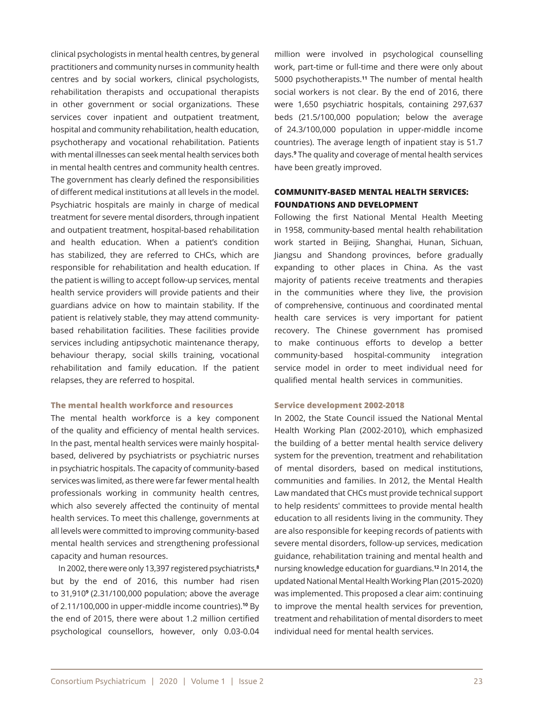clinical psychologists in mental health centres, by general practitioners and community nurses in community health centres and by social workers, clinical psychologists, rehabilitation therapists and occupational therapists in other government or social organizations. These services cover inpatient and outpatient treatment, hospital and community rehabilitation, health education, psychotherapy and vocational rehabilitation. Patients with mental illnesses can seek mental health services both in mental health centres and community health centres. The government has clearly defined the responsibilities of different medical institutions at all levels in the model. Psychiatric hospitals are mainly in charge of medical treatment for severe mental disorders, through inpatient and outpatient treatment, hospital-based rehabilitation and health education. When a patient's condition has stabilized, they are referred to CHCs, which are responsible for rehabilitation and health education. If the patient is willing to accept follow-up services, mental health service providers will provide patients and their guardians advice on how to maintain stability. If the patient is relatively stable, they may attend communitybased rehabilitation facilities. These facilities provide services including antipsychotic maintenance therapy, behaviour therapy, social skills training, vocational rehabilitation and family education. If the patient relapses, they are referred to hospital.

#### **The mental health workforce and resources**

The mental health workforce is a key component of the quality and efficiency of mental health services. In the past, mental health services were mainly hospitalbased, delivered by psychiatrists or psychiatric nurses in psychiatric hospitals. The capacity of community-based services was limited, as there were far fewer mental health professionals working in community health centres, which also severely affected the continuity of mental health services. To meet this challenge, governments at all levels were committed to improving community-based mental health services and strengthening professional capacity and human resources.

In 2002, there were only 13,397 registered psychiatrists,**<sup>8</sup>** but by the end of 2016, this number had risen to 31,910**<sup>9</sup>** (2.31/100,000 population; above the average of 2.11/100,000 in upper-middle income countries).**10** By the end of 2015, there were about 1.2 million certified psychological counsellors, however, only 0.03-0.04

million were involved in psychological counselling work, part-time or full-time and there were only about 5000 psychotherapists.**11** The number of mental health social workers is not clear. By the end of 2016, there were 1,650 psychiatric hospitals, containing 297,637 beds (21.5/100,000 population; below the average of 24.3/100,000 population in upper-middle income countries). The average length of inpatient stay is 51.7 days.**<sup>9</sup>** The quality and coverage of mental health services have been greatly improved.

# **COMMUNITY-BASED MENTAL HEALTH SERVICES: FOUNDATIONS AND DEVELOPMENT**

Following the first National Mental Health Meeting in 1958, community-based mental health rehabilitation work started in Beijing, Shanghai, Hunan, Sichuan, Jiangsu and Shandong provinces, before gradually expanding to other places in China. As the vast majority of patients receive treatments and therapies in the communities where they live, the provision of comprehensive, continuous and coordinated mental health care services is very important for patient recovery. The Chinese government has promised to make continuous efforts to develop a better community-based hospital-community integration service model in order to meet individual need for qualified mental health services in communities.

#### **Service development 2002-2018**

In 2002, the State Council issued the National Mental Health Working Plan (2002-2010), which emphasized the building of a better mental health service delivery system for the prevention, treatment and rehabilitation of mental disorders, based on medical institutions, communities and families. In 2012, the Mental Health Law mandated that CHCs must provide technical support to help residents' committees to provide mental health education to all residents living in the community. They are also responsible for keeping records of patients with severe mental disorders, follow-up services, medication guidance, rehabilitation training and mental health and nursing knowledge education for guardians.**12** In 2014, the updated National Mental Health Working Plan (2015-2020) was implemented. This proposed a clear aim: continuing to improve the mental health services for prevention, treatment and rehabilitation of mental disorders to meet individual need for mental health services.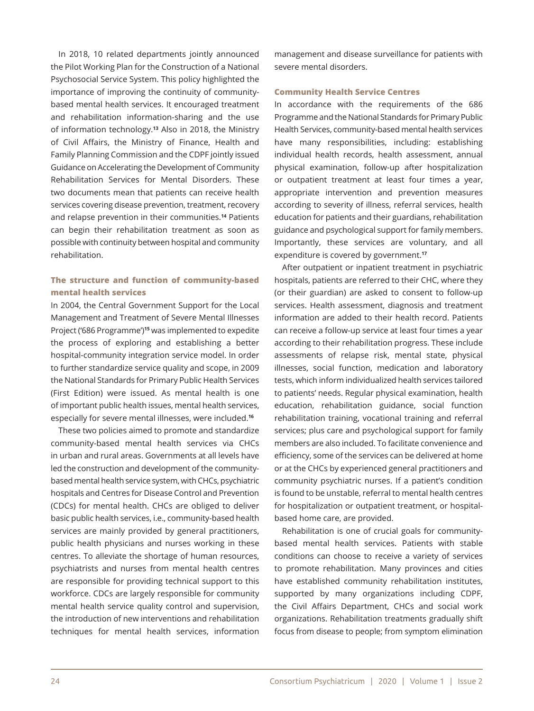In 2018, 10 related departments jointly announced the Pilot Working Plan for the Construction of a National Psychosocial Service System. This policy highlighted the importance of improving the continuity of communitybased mental health services. It encouraged treatment and rehabilitation information-sharing and the use of information technology.**13** Also in 2018, the Ministry of Civil Affairs, the Ministry of Finance, Health and Family Planning Commission and the CDPF jointly issued Guidance on Accelerating the Development of Community Rehabilitation Services for Mental Disorders. These two documents mean that patients can receive health services covering disease prevention, treatment, recovery and relapse prevention in their communities.**14** Patients can begin their rehabilitation treatment as soon as possible with continuity between hospital and community rehabilitation.

# **The structure and function of community-based mental health services**

In 2004, the Central Government Support for the Local Management and Treatment of Severe Mental Illnesses Project ('686 Programme')**15** was implemented to expedite the process of exploring and establishing a better hospital-community integration service model. In order to further standardize service quality and scope, in 2009 the National Standards for Primary Public Health Services (First Edition) were issued. As mental health is one of important public health issues, mental health services, especially for severe mental illnesses, were included.**<sup>16</sup>**

These two policies aimed to promote and standardize community-based mental health services via CHCs in urban and rural areas. Governments at all levels have led the construction and development of the communitybased mental health service system, with CHCs, psychiatric hospitals and Centres for Disease Control and Prevention (CDCs) for mental health. CHCs are obliged to deliver basic public health services, i.e., community-based health services are mainly provided by general practitioners, public health physicians and nurses working in these centres. To alleviate the shortage of human resources, psychiatrists and nurses from mental health centres are responsible for providing technical support to this workforce. CDCs are largely responsible for community mental health service quality control and supervision, the introduction of new interventions and rehabilitation techniques for mental health services, information

management and disease surveillance for patients with severe mental disorders.

#### **Community Health Service Centres**

In accordance with the requirements of the 686 Programme and the National Standards for Primary Public Health Services, community-based mental health services have many responsibilities, including: establishing individual health records, health assessment, annual physical examination, follow-up after hospitalization or outpatient treatment at least four times a year, appropriate intervention and prevention measures according to severity of illness, referral services, health education for patients and their guardians, rehabilitation guidance and psychological support for family members. Importantly, these services are voluntary, and all expenditure is covered by government.**<sup>17</sup>**

After outpatient or inpatient treatment in psychiatric hospitals, patients are referred to their CHC, where they (or their guardian) are asked to consent to follow-up services. Health assessment, diagnosis and treatment information are added to their health record. Patients can receive a follow-up service at least four times a year according to their rehabilitation progress. These include assessments of relapse risk, mental state, physical illnesses, social function, medication and laboratory tests, which inform individualized health services tailored to patients' needs. Regular physical examination, health education, rehabilitation guidance, social function rehabilitation training, vocational training and referral services; plus care and psychological support for family members are also included. To facilitate convenience and efficiency, some of the services can be delivered at home or at the CHCs by experienced general practitioners and community psychiatric nurses. If a patient's condition is found to be unstable, referral to mental health centres for hospitalization or outpatient treatment, or hospitalbased home care, are provided.

Rehabilitation is one of crucial goals for communitybased mental health services. Patients with stable conditions can choose to receive a variety of services to promote rehabilitation. Many provinces and cities have established community rehabilitation institutes, supported by many organizations including CDPF, the Civil Affairs Department, CHCs and social work organizations. Rehabilitation treatments gradually shift focus from disease to people; from symptom elimination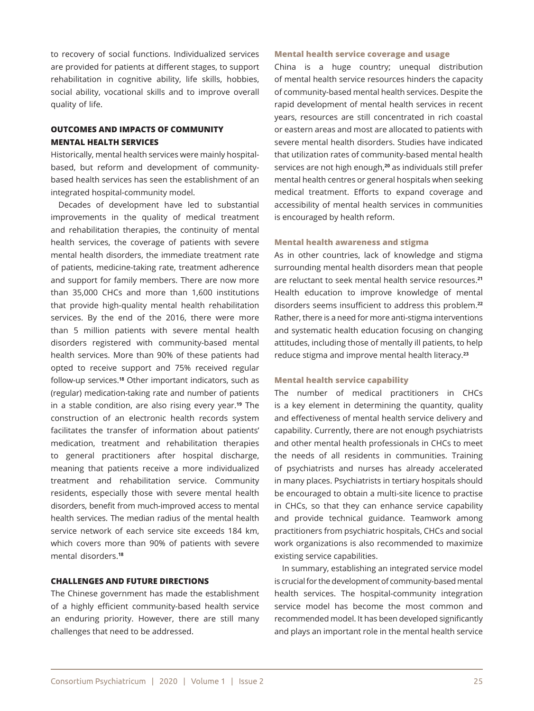to recovery of social functions. Individualized services are provided for patients at different stages, to support rehabilitation in cognitive ability, life skills, hobbies, social ability, vocational skills and to improve overall quality of life.

# **OUTCOMES AND IMPACTS OF COMMUNITY MENTAL HEALTH SERVICES**

Historically, mental health services were mainly hospitalbased, but reform and development of communitybased health services has seen the establishment of an integrated hospital-community model.

Decades of development have led to substantial improvements in the quality of medical treatment and rehabilitation therapies, the continuity of mental health services, the coverage of patients with severe mental health disorders, the immediate treatment rate of patients, medicine-taking rate, treatment adherence and support for family members. There are now more than 35,000 CHCs and more than 1,600 institutions that provide high-quality mental health rehabilitation services. By the end of the 2016, there were more than 5 million patients with severe mental health disorders registered with community-based mental health services. More than 90% of these patients had opted to receive support and 75% received regular follow-up services.**18** Other important indicators, such as (regular) medication-taking rate and number of patients in a stable condition, are also rising every year.**19** The construction of an electronic health records system facilitates the transfer of information about patients' medication, treatment and rehabilitation therapies to general practitioners after hospital discharge, meaning that patients receive a more individualized treatment and rehabilitation service. Community residents, especially those with severe mental health disorders, benefit from much-improved access to mental health services. The median radius of the mental health service network of each service site exceeds 184 km, which covers more than 90% of patients with severe mental disorders.**<sup>18</sup>**

## **CHALLENGES AND FUTURE DIRECTIONS**

The Chinese government has made the establishment of a highly efficient community-based health service an enduring priority. However, there are still many challenges that need to be addressed.

#### **Mental health service coverage and usage**

China is a huge country; unequal distribution of mental health service resources hinders the capacity of community-based mental health services. Despite the rapid development of mental health services in recent years, resources are still concentrated in rich coastal or eastern areas and most are allocated to patients with severe mental health disorders. Studies have indicated that utilization rates of community-based mental health services are not high enough,**20** as individuals still prefer mental health centres or general hospitals when seeking medical treatment. Efforts to expand coverage and accessibility of mental health services in communities is encouraged by health reform.

### **Mental health awareness and stigma**

As in other countries, lack of knowledge and stigma surrounding mental health disorders mean that people are reluctant to seek mental health service resources.**<sup>21</sup>** Health education to improve knowledge of mental disorders seems insufficient to address this problem.**<sup>22</sup>** Rather, there is a need for more anti-stigma interventions and systematic health education focusing on changing attitudes, including those of mentally ill patients, to help reduce stigma and improve mental health literacy.**<sup>23</sup>**

#### **Mental health service capability**

The number of medical practitioners in CHCs is a key element in determining the quantity, quality and effectiveness of mental health service delivery and capability. Currently, there are not enough psychiatrists and other mental health professionals in CHCs to meet the needs of all residents in communities. Training of psychiatrists and nurses has already accelerated in many places. Psychiatrists in tertiary hospitals should be encouraged to obtain a multi-site licence to practise in CHCs, so that they can enhance service capability and provide technical guidance. Teamwork among practitioners from psychiatric hospitals, CHCs and social work organizations is also recommended to maximize existing service capabilities.

In summary, establishing an integrated service model is crucial for the development of community-based mental health services. The hospital-community integration service model has become the most common and recommended model. It has been developed significantly and plays an important role in the mental health service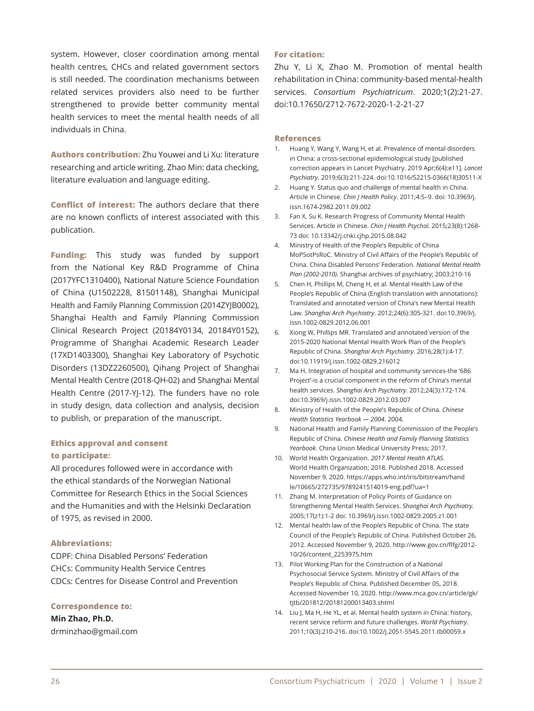system. However, closer coordination among mental health centres, CHCs and related government sectors is still needed. The coordination mechanisms between related services providers also need to be further strengthened to provide better community mental health services to meet the mental health needs of all individuals in China.

**Authors contribution:** Zhu Youwei and Li Xu: literature researching and article writing. Zhao Min: data checking, literature evaluation and language editing.

**Conflict of interest:** The authors declare that there are no known conflicts of interest associated with this publication.

**Funding:** This study was funded by support from the National Key R&D Programme of China (2017YFC1310400), National Nature Science Foundation of China (U1502228, 81501148), Shanghai Municipal Health and Family Planning Commission (2014ZYJB0002), Shanghai Health and Family Planning Commission Clinical Research Project (20184Y0134, 20184Y0152), Programme of Shanghai Academic Research Leader (17XD1403300), Shanghai Key Laboratory of Psychotic Disorders (13DZ2260500), Qihang Project of Shanghai Mental Health Centre (2018-QH-02) and Shanghai Mental Health Centre (2017-YJ-12). The funders have no role in study design, data collection and analysis, decision to publish, or preparation of the manuscript.

# **Ethics approval and consent to participate:**

All procedures followed were in accordance with the ethical standards of the Norwegian National Committee for Research Ethics in the Social Sciences and the Humanities and with the Helsinki Declaration of 1975, as revised in 2000.

## **Abbreviations:**

CDPF: China Disabled Persons' Federation CHCs: Community Health Service Centres CDCs: Centres for Disease Control and Prevention

## **Correspondence to:**

**Min Zhao, Ph.D.**  drminzhao@gmail.com

#### **For citation:**

Zhu Y, Li X, Zhao M. Promotion of mental health rehabilitation in China: community-based mental-health services. *Consortium Psychiatricum*. 2020;1(2):21-27. doi:10.17650/2712-7672-2020-1-2-21-27

#### **References**

- 1. Huang Y, Wang Y, Wang H, et al. Prevalence of mental disorders in China: a cross-sectional epidemiological study [published correction appears in Lancet Psychiatry. 2019 Apr;6(4):e11]. *Lancet Psychiatry*. 2019;6(3):211-224. doi:10.1016/S2215-0366(18)30511-X
- 2. Huang Y. Status quo and challenge of mental health in China. Article in Chinese. *Chin J Health Policy*. 2011;4:5–9. doi: 10.3969/j. issn.1674-2982.2011.09.002
- 3. Fan X, Su K. Research Progress of Community Mental Health Services. Article in Chinese. *Chin J Health Psychol.* 2015;23(8):1268- 73 doi: 10.13342/j.cnki.cjhp.2015.08.042
- 4. Ministry of Health of the People's Republic of China MoPSotPsRoC. Ministry of Civil Affairs of the People's Republic of China. China Disabled Persons' Federation. *National Mental Health Plan (2002-2010).* Shanghai archives of psychiatry; 2003:210-16
- 5. Chen H, Phillips M, Cheng H, et al. Mental Health Law of the People's Republic of China (English translation with annotations): Translated and annotated version of China's new Mental Health Law. *Shanghai Arch Psychiatry*. 2012;24(6):305-321. doi:10.3969/j. issn.1002-0829.2012.06.001
- 6. Xiong W, Phillips MR. Translated and annotated version of the 2015-2020 National Mental Health Work Plan of the People's Republic of China. *Shanghai Arch Psychiatry*. 2016;28(1):4-17. doi:10.11919/j.issn.1002-0829.216012
- 7. Ma H. Integration of hospital and community services-the '686 Project'-is a crucial component in the reform of China's mental health services. *Shanghai Arch Psychiatry*. 2012;24(3):172-174. doi:10.3969/j.issn.1002-0829.2012.03.007
- 8. Ministry of Health of the People's Republic of China. *Chinese Health Statistics Yearbook — 2004*. 2004.
- 9. National Health and Family Planning Commission of the People's Republic of China. *Chinese Health and Family Planning Statistics Yearbook*. China Union Medical University Press; 2017.
- 10. World Health Organization. *2017 Mental Health ATLAS*. World Health Organization; 2018. Published 2018. Accessed November 9, 2020. https://apps.who.int/iris/bitstream/hand le/10665/272735/9789241514019-eng.pdf?ua=1
- 11. Zhang M. Interpretation of Policy Points of Guidance on Strengthening Mental Health Services. *Shanghai Arch Psychiatry.* 2005;17(z1):1-2 doi: 10.3969/j.issn.1002-0829.2005.z1.001
- 12. Mental health law of the People's Republic of China. The state Council of the People's Republic of China. Published October 26, 2012. Accessed November 9, 2020. http://www.gov.cn/flfg/2012- 10/26/content\_2253975.htm
- 13. Pilot Working Plan for the Construction of a National Psychosocial Service System. Ministry of Civil Affairs of the People's Republic of China. Published December 05, 2018. Accessed November 10, 2020. http://www.mca.gov.cn/article/gk/ titb/201812/20181200013403.shtml
- 14. Liu J, Ma H, He YL, et al. Mental health system in China: history, recent service reform and future challenges. *World Psychiatry*. 2011;10(3):210-216. doi:10.1002/j.2051-5545.2011.tb00059.x